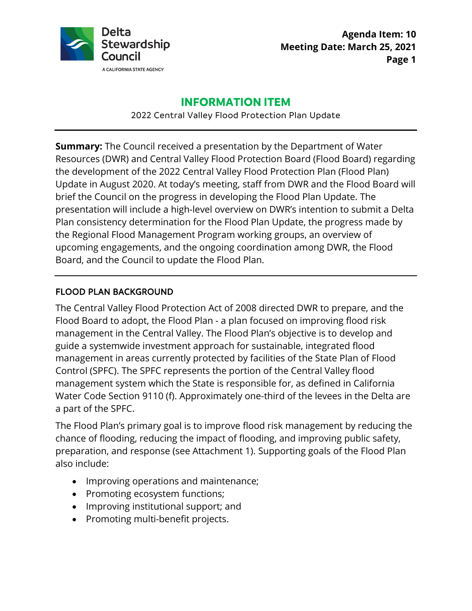

**Agenda Item: 10 Meeting Date: March 25, 2021 Page 1** 

### **INFORMATION ITEM**

2022 Central Valley Flood Protection Plan Update

 presentation will include a high-level overview on DWR's intention to submit a Delta Plan consistency determination for the Flood Plan Update, the progress made by upcoming engagements, and the ongoing coordination among DWR, the Flood Board, and the Council to update the Flood Plan. **Summary:** The Council received a presentation by the Department of Water Resources (DWR) and Central Valley Flood Protection Board (Flood Board) regarding the development of the 2022 Central Valley Flood Protection Plan (Flood Plan) Update in August 2020. At today's meeting, staff from DWR and the Flood Board will brief the Council on the progress in developing the Flood Plan Update. The the Regional Flood Management Program working groups, an overview of

#### FLOOD PLAN BACKGROUND

 Flood Board to adopt, the Flood Plan - a plan focused on improving flood risk The Central Valley Flood Protection Act of 2008 directed DWR to prepare, and the management in the Central Valley. The Flood Plan's objective is to develop and guide a systemwide investment approach for sustainable, integrated flood management in areas currently protected by facilities of the State Plan of Flood Control (SPFC). The SPFC represents the portion of the Central Valley flood management system which the State is responsible for, as defined in California Water Code Section 9110 (f). Approximately one-third of the levees in the Delta are a part of the SPFC.

 preparation, and response (see Attachment 1). Supporting goals of the Flood Plan The Flood Plan's primary goal is to improve flood risk management by reducing the chance of flooding, reducing the impact of flooding, and improving public safety, also include:

- Improving operations and maintenance;
- Promoting ecosystem functions;
- Improving institutional support; and
- Promoting multi-benefit projects.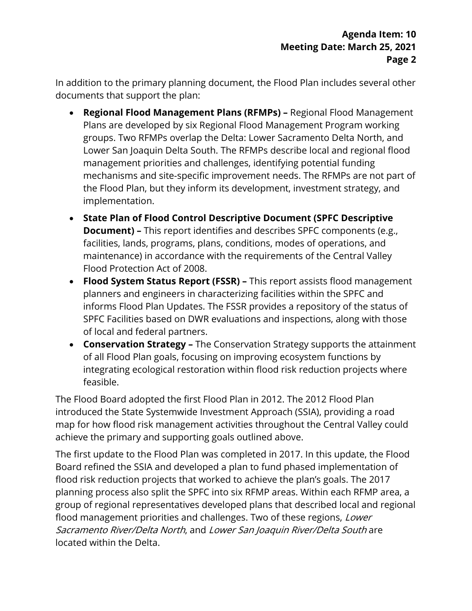In addition to the primary planning document, the Flood Plan includes several other documents that support the plan:

- **Regional Flood Management Plans (RFMPs)** Regional Flood Management mechanisms and site-specific improvement needs. The RFMPs are not part of Plans are developed by six Regional Flood Management Program working groups. Two RFMPs overlap the Delta: Lower Sacramento Delta North, and Lower San Joaquin Delta South. The RFMPs describe local and regional flood management priorities and challenges, identifying potential funding the Flood Plan, but they inform its development, investment strategy, and implementation.
- **Document)** This report identifies and describes SPFC components (e.g., • **State Plan of Flood Control Descriptive Document (SPFC Descriptive** facilities, lands, programs, plans, conditions, modes of operations, and maintenance) in accordance with the requirements of the Central Valley Flood Protection Act of 2008.
- **Flood System Status Report (FSSR)** This report assists flood management of local and federal partners. planners and engineers in characterizing facilities within the SPFC and informs Flood Plan Updates. The FSSR provides a repository of the status of SPFC Facilities based on DWR evaluations and inspections, along with those
- **Conservation Strategy** The Conservation Strategy supports the attainment of all Flood Plan goals, focusing on improving ecosystem functions by feasible. integrating ecological restoration within flood risk reduction projects where

 introduced the State Systemwide Investment Approach (SSIA), providing a road map for how flood risk management activities throughout the Central Valley could The Flood Board adopted the first Flood Plan in 2012. The 2012 Flood Plan achieve the primary and supporting goals outlined above.

 The first update to the Flood Plan was completed in 2017. In this update, the Flood planning process also split the SPFC into six RFMP areas. Within each RFMP area, a group of regional representatives developed plans that described local and regional located within the Delta. Board refined the SSIA and developed a plan to fund phased implementation of flood risk reduction projects that worked to achieve the plan's goals. The 2017 flood management priorities and challenges. Two of these regions, Lower Sacramento River/Delta North, and Lower San Joaquin River/Delta South are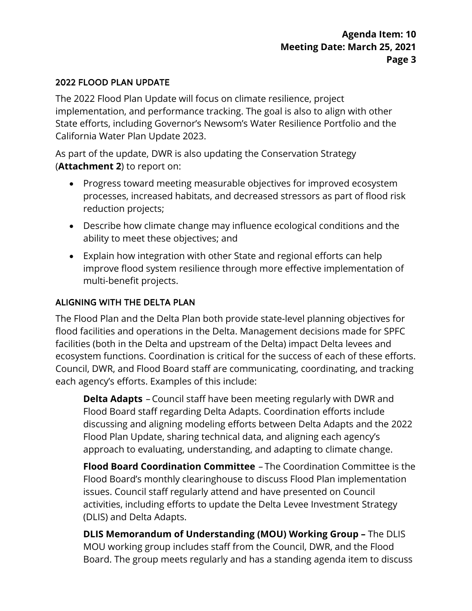# 2022 FLOOD PLAN UPDATE

 The 2022 Flood Plan Update will focus on climate resilience, project State efforts, including Governor's Newsom's Water Resilience Portfolio and the California Water Plan Update 2023. implementation, and performance tracking. The goal is also to align with other

 As part of the update, DWR is also updating the Conservation Strategy (**Attachment 2**) to report on:

- Progress toward meeting measurable objectives for improved ecosystem processes, increased habitats, and decreased stressors as part of flood risk reduction projects;
- Describe how climate change may influence ecological conditions and the ability to meet these objectives; and
- Explain how integration with other State and regional efforts can help improve flood system resilience through more effective implementation of multi-benefit projects.

# ALIGNING WITH THE DELTA PLAN

 facilities (both in the Delta and upstream of the Delta) impact Delta levees and ecosystem functions. Coordination is critical for the success of each of these efforts. Council, DWR, and Flood Board staff are communicating, coordinating, and tracking each agency's efforts. Examples of this include: The Flood Plan and the Delta Plan both provide state-level planning objectives for flood facilities and operations in the Delta. Management decisions made for SPFC

 **Delta Adapts** – Council staff have been meeting regularly with DWR and Flood Plan Update, sharing technical data, and aligning each agency's Flood Board staff regarding Delta Adapts. Coordination efforts include discussing and aligning modeling efforts between Delta Adapts and the 2022 approach to evaluating, understanding, and adapting to climate change.

 **Flood Board Coordination Committee** – The Coordination Committee is the Flood Board's monthly clearinghouse to discuss Flood Plan implementation activities, including efforts to update the Delta Levee Investment Strategy issues. Council staff regularly attend and have presented on Council (DLIS) and Delta Adapts.

 MOU working group includes staff from the Council, DWR, and the Flood Board. The group meets regularly and has a standing agenda item to discuss **DLIS Memorandum of Understanding (MOU) Working Group –** The DLIS